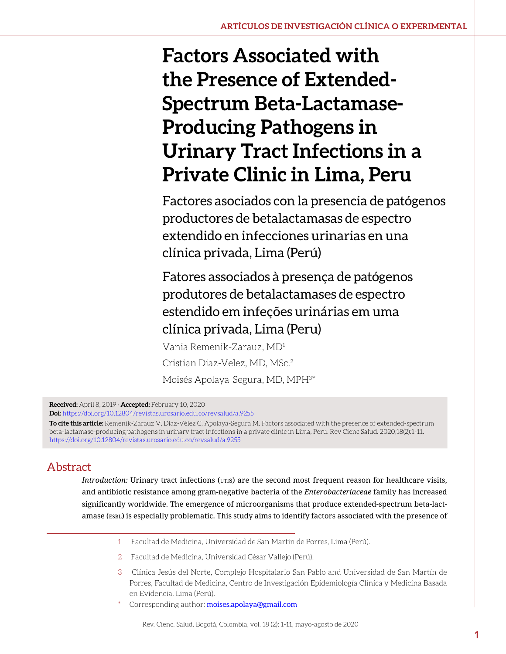# **Factors Associated with the Presence of Extended-Spectrum Beta-Lactamase-Producing Pathogens in Urinary Tract Infections in a Private Clinic in Lima, Peru**

Factores asociados con la presencia de patógenos productores de betalactamasas de espectro extendido en infecciones urinarias en una clínica privada, Lima (Perú)

Fatores associados à presença de patógenos produtores de betalactamases de espectro estendido em infeções urinárias em uma clínica privada, Lima (Peru)

Vania Remenik-Zarauz, MD1 Cristian Diaz-Velez, MD, MSc.2 Moisés Apolaya-Segura, MD, MPH<sup>3\*</sup>

**Received:** April 8, 2019 · **Accepted:** February 10, 2020

**Doi:** https://doi.org/10.12804/revistas.urosario.edu.co/revsalud/a.9255

**To cite this article:** Remenik-Zarauz V, Díaz-Vélez C, Apolaya-Segura M. Factors associated with the presence of extended-spectrum beta-lactamase-producing pathogens in urinary tract infections in a private clinic in Lima, Peru. Rev Cienc Salud. 2020;18(2):1-11. https://doi.org/10.12804/revistas.urosario.edu.co/revsalud/a.9255

#### Abstract

*Introduction:* Urinary tract infections (UTIS) are the second most frequent reason for healthcare visits, and antibiotic resistance among gram-negative bacteria of the *Enterobacteriaceae* family has increased significantly worldwide. The emergence of microorganisms that produce extended-spectrum beta-lactamase (esbl) is especially problematic. This study aims to identify factors associated with the presence of

- 1 Facultad de Medicina, Universidad de San Martin de Porres, Lima (Perú).
- 2 Facultad de Medicina, Universidad César Vallejo (Perú).
- 3 Clínica Jesús del Norte, Complejo Hospitalario San Pablo and Universidad de San Martín de Porres, Facultad de Medicina, Centro de Investigación Epidemiología Clínica y Medicina Basada en Evidencia. Lima (Perú).
- Corresponding author: [moises.apolaya@gmail.com](mailto:moises.apolaya@gmail.com)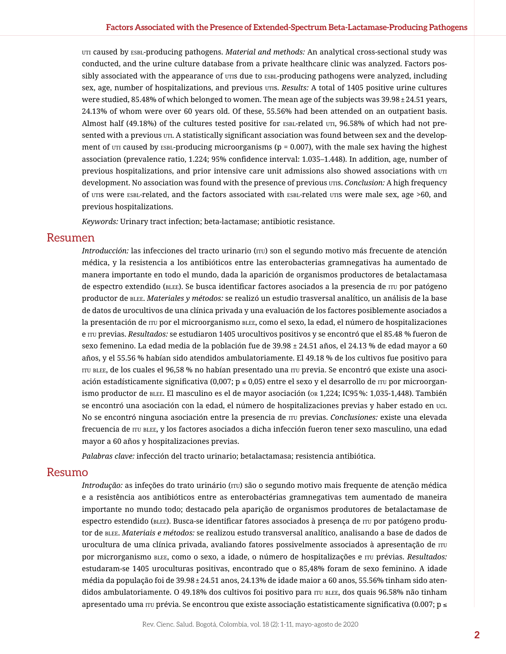uti caused by esbl-producing pathogens. *Material and methods:* An analytical cross-sectional study was conducted, and the urine culture database from a private healthcare clinic was analyzed. Factors possibly associated with the appearance of uris due to  $ESBL-producting$  pathogens were analyzed, including sex, age, number of hospitalizations, and previous utis. *Results:* A total of 1405 positive urine cultures were studied, 85.48% of which belonged to women. The mean age of the subjects was 39.98±24.51 years, 24.13% of whom were over 60 years old. Of these, 55.56% had been attended on an outpatient basis. Almost half (49.18%) of the cultures tested positive for ESBL-related UTI, 96.58% of which had not presented with a previous  $UTI$ . A statistically significant association was found between sex and the development of  $UTI$  caused by  $ESBL-production$  microorganisms (p = 0.007), with the male sex having the highest association (prevalence ratio, 1.224; 95% confidence interval: 1.035–1.448). In addition, age, number of previous hospitalizations, and prior intensive care unit admissions also showed associations with  $\text{u}$ development. No association was found with the presence of previous utis. *Conclusion:* A high frequency of uris were ESBL-related, and the factors associated with ESBL-related uris were male sex, age >60, and previous hospitalizations.

*Keywords:* Urinary tract infection; beta-lactamase; antibiotic resistance.

#### Resumen

*Introducción:* las infecciones del tracto urinario ( $\text{iru}$ ) son el segundo motivo más frecuente de atención médica, y la resistencia a los antibióticos entre las enterobacterias gramnegativas ha aumentado de manera importante en todo el mundo, dada la aparición de organismos productores de betalactamasa de espectro extendido (blee). Se busca identificar factores asociados a la presencia de itu por patógeno productor de blee. *Materiales y métodos:* se realizó un estudio trasversal analítico, un análisis de la base de datos de urocultivos de una clínica privada y una evaluación de los factores posiblemente asociados a la presentación de  $\pi v$  por el microorganismo  $\text{BLE}$ , como el sexo, la edad, el número de hospitalizaciones e itu previas. *Resultados:* se estudiaron 1405 urocultivos positivos y se encontró que el 85.48 % fueron de sexo femenino. La edad media de la población fue de 39.98 ± 24.51 años, el 24.13 % de edad mayor a 60 años, y el 55.56 % habían sido atendidos ambulatoriamente. El 49.18 % de los cultivos fue positivo para itu blee, de los cuales el 96,58 % no habían presentado una itu previa. Se encontró que existe una asociación estadísticamente significativa (0,007; p ≤ 0,05) entre el sexo y el desarrollo de rru por microorganismo productor de blee. El masculino es el de mayor asociación (or 1,224; IC95%: 1,035-1,448). También se encontró una asociación con la edad, el número de hospitalizaciones previas y haber estado en uci. No se encontró ninguna asociación entre la presencia de itu previas. *Conclusiones:* existe una elevada frecuencia de itu blee, y los factores asociados a dicha infección fueron tener sexo masculino, una edad mayor a 60 años y hospitalizaciones previas.

*Palabras clave:* infección del tracto urinario; betalactamasa; resistencia antibiótica.

#### Resumo

*Introdução:* as infeções do trato urinário (rru) são o segundo motivo mais frequente de atenção médica e a resistência aos antibióticos entre as enterobactérias gramnegativas tem aumentado de maneira importante no mundo todo; destacado pela aparição de organismos produtores de betalactamase de espectro estendido (blee). Busca-se identificar fatores associados à presença de itu por patógeno produtor de blee. *Materiais e métodos:* se realizou estudo transversal analítico, analisando a base de dados de urocultura de uma clínica privada, avaliando fatores possivelmente associados à apresentação de rru por microrganismo BLEE, como o sexo, a idade, o número de hospitalizações e rru prévias. *Resultados:* estudaram-se 1405 uroculturas positivas, encontrado que o 85,48% foram de sexo feminino. A idade média da população foi de 39.98±24.51 anos, 24.13% de idade maior a 60 anos, 55.56% tinham sido atendidos ambulatoriamente. O 49.18% dos cultivos foi positivo para  $\pi$ u blee, dos quais 96.58% não tinham apresentado uma  $\pi v$  prévia. Se encontrou que existe associação estatisticamente significativa (0.007; p  $\leq$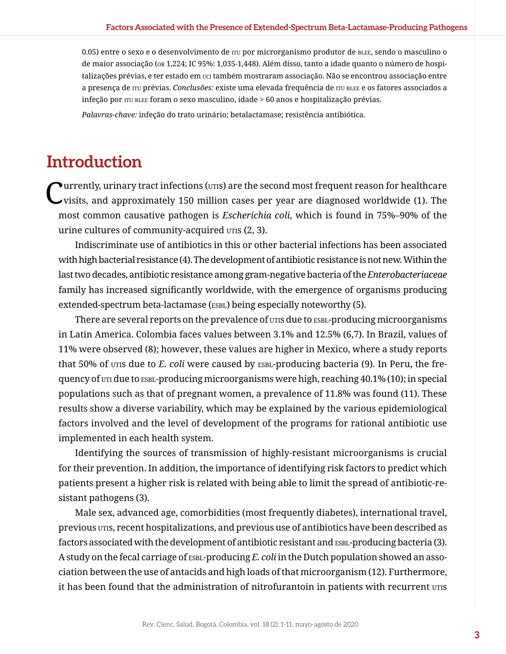0.05) entre o sexo e o desenvolvimento de rru por microrganismo produtor de BLEE, sendo o masculino o de maior associação (or 1,224; IC 95%: 1,035-1,448). Além disso, tanto a idade quanto o número de hospitalizações prévias, e ter estado em uci também mostraram associação. Não se encontrou associação entre a presença de itu prévias. *Conclusões:* existe uma elevada frequência de itu blee e os fatores associados a infeção por ITU BLEE foram o sexo masculino, idade > 60 anos e hospitalização prévias.

*Palavras-chave:* infeção do trato urinário; betalactamase; resistência antibiótica.

## **Introduction**

 $\blacktriangleright$ urrently, urinary tract infections ( $\text{UTIS}$ ) are the second most frequent reason for healthcare visits, and approximately 150 million cases per year are diagnosed worldwide (1). The most common causative pathogen is *Escherichia coli*, which is found in 75%–90% of the urine cultures of community-acquired utis (2, 3).

Indiscriminate use of antibiotics in this or other bacterial infections has been associated with high bacterial resistance (4). The development of antibiotic resistance is not new. Within the last two decades, antibiotic resistance among gram-negative bacteria of the *Enterobacteriaceae* family has increased significantly worldwide, with the emergence of organisms producing extended-spectrum beta-lactamase (ESBL) being especially noteworthy (5).

There are several reports on the prevalence of *uris* due to *ESBL*-producing microorganisms in Latin America. Colombia faces values between 3.1% and 12.5% (6,7). In Brazil, values of 11% were observed (8); however, these values are higher in Mexico, where a study reports that 50% of utis due to *E. coli* were caused by **ESBL-producing bacteria** (9). In Peru, the frequency of uti due to ESBL-producing microorganisms were high, reaching 40.1% (10); in special populations such as that of pregnant women, a prevalence of 11.8% was found (11). These results show a diverse variability, which may be explained by the various epidemiological factors involved and the level of development of the programs for rational antibiotic use implemented in each health system.

Identifying the sources of transmission of highly-resistant microorganisms is crucial for their prevention. In addition, the importance of identifying risk factors to predict which patients present a higher risk is related with being able to limit the spread of antibiotic-resistant pathogens (3).

Male sex, advanced age, comorbidities (most frequently diabetes), international travel, previous utis, recent hospitalizations, and previous use of antibiotics have been described as factors associated with the development of antibiotic resistant and  $ESBL-producting bacteria (3)$ . A study on the fecal carriage of esbl-producing *E. coli* in the Dutch population showed an association between the use of antacids and high loads of that microorganism (12). Furthermore, it has been found that the administration of nitrofurantoin in patients with recurrent UTIS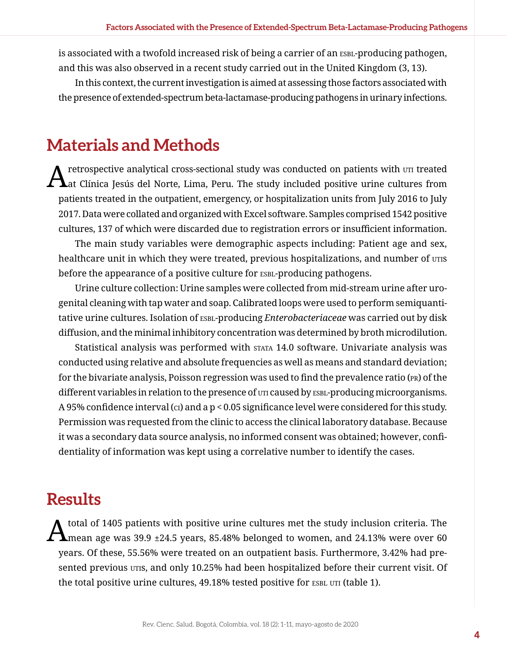is associated with a twofold increased risk of being a carrier of an ESBL-producing pathogen, and this was also observed in a recent study carried out in the United Kingdom (3, 13).

In this context, the current investigation is aimed at assessing those factors associated with the presence of extended-spectrum beta-lactamase-producing pathogens in urinary infections.

### **Materials and Methods**

 $A$ retrospective analytical cross-sectional study was conducted on patients with  $\sigma$ rr treated at Clínica Jesús del Norte, Lima, Peru. The study included positive urine cultures from patients treated in the outpatient, emergency, or hospitalization units from July 2016 to July 2017. Data were collated and organized with Excel software. Samples comprised 1542 positive cultures, 137 of which were discarded due to registration errors or insufficient information.

The main study variables were demographic aspects including: Patient age and sex, healthcare unit in which they were treated, previous hospitalizations, and number of  $urrs$ before the appearance of a positive culture for  $ESBL-producting$  pathogens.

Urine culture collection: Urine samples were collected from mid-stream urine after urogenital cleaning with tap water and soap. Calibrated loops were used to perform semiquantitative urine cultures. Isolation of **ESBL-producing** *Enterobacteriaceae* was carried out by disk diffusion, and the minimal inhibitory concentration was determined by broth microdilution.

Statistical analysis was performed with STATA 14.0 software. Univariate analysis was conducted using relative and absolute frequencies as well as means and standard deviation; for the bivariate analysis, Poisson regression was used to find the prevalence ratio (pr) of the different variables in relation to the presence of  $UT$  caused by ESBL-producing microorganisms. A 95% confidence interval (ci) and a  $p < 0.05$  significance level were considered for this study. Permission was requested from the clinic to access the clinical laboratory database. Because it was a secondary data source analysis, no informed consent was obtained; however, confidentiality of information was kept using a correlative number to identify the cases.

### **Results**

 $A$  total of 1405 patients with positive urine cultures met the study inclusion criteria. The mean age was 39.9 ±24.5 years, 85.48% belonged to women, and 24.13% were over 60 years. Of these, 55.56% were treated on an outpatient basis. Furthermore, 3.42% had presented previous utis, and only 10.25% had been hospitalized before their current visit. Of the total positive urine cultures, 49.18% tested positive for ESBL UTI (table 1).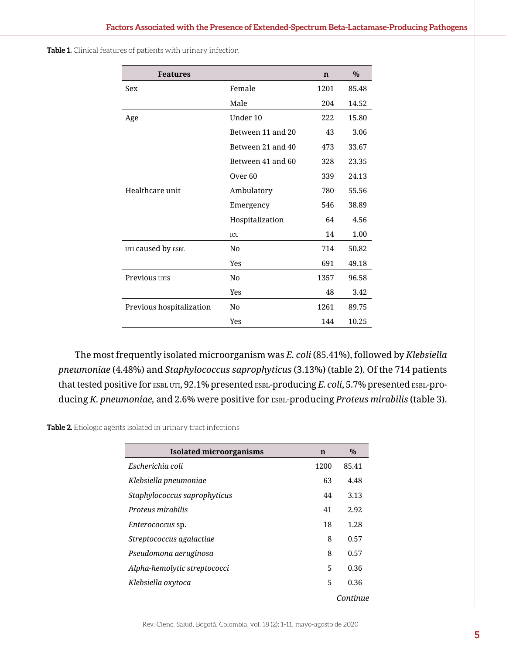| <b>Features</b>          |                    | $\mathbf n$ | $\frac{0}{0}$ |
|--------------------------|--------------------|-------------|---------------|
| Sex                      | Female             | 1201        | 85.48         |
|                          | Male               | 204         | 14.52         |
| Age                      | Under 10           | 222         | 15.80         |
|                          | Between 11 and 20  | 43          | 3.06          |
|                          | Between 21 and 40  | 473         | 33.67         |
|                          | Between 41 and 60  | 328         | 23.35         |
|                          | Over <sub>60</sub> | 339         | 24.13         |
| Healthcare unit          | Ambulatory         | 780         | 55.56         |
|                          | Emergency          | 546         | 38.89         |
|                          | Hospitalization    | 64          | 4.56          |
|                          | ICU                | 14          | 1.00          |
| UTI caused by ESBL       | N <sub>0</sub>     | 714         | 50.82         |
|                          | Yes                | 691         | 49.18         |
| Previous UTIS            | No                 | 1357        | 96.58         |
|                          | Yes                | 48          | 3.42          |
| Previous hospitalization | N <sub>0</sub>     | 1261        | 89.75         |
|                          | Yes                | 144         | 10.25         |

**Table 1.** Clinical features of patients with urinary infection

The most frequently isolated microorganism was *E. coli* (85.41%), followed by *Klebsiella pneumoniae* (4.48%) and *Staphylococcus saprophyticus* (3.13%) (table 2). Of the 714 patients that tested positive for ESBL UTI, 92.1% presented ESBL-producing *E. coli*, 5.7% presented ESBL-producing *K. pneumoniae,* and 2.6% were positive for esbl-producing *Proteus mirabilis* (table 3).

**Table 2.** Etiologic agents isolated in urinary tract infections

| <b>Isolated microorganisms</b> | $\mathbf n$ | $\%$     |
|--------------------------------|-------------|----------|
| Escherichia coli               | 1200        | 85.41    |
| Klebsiella pneumoniae          | 63          | 4.48     |
| Staphylococcus saprophyticus   | 44          | 3.13     |
| Proteus mirabilis              | 41          | 2.92     |
| <i>Enterococcus</i> sp.        | 18          | 1.28     |
| Streptococcus agalactiae       | 8           | 0.57     |
| Pseudomona aeruginosa          | 8           | 0.57     |
| Alpha-hemolytic streptococci   | 5           | 0.36     |
| Klebsiella oxytoca             | 5           | 0.36     |
|                                |             | Continue |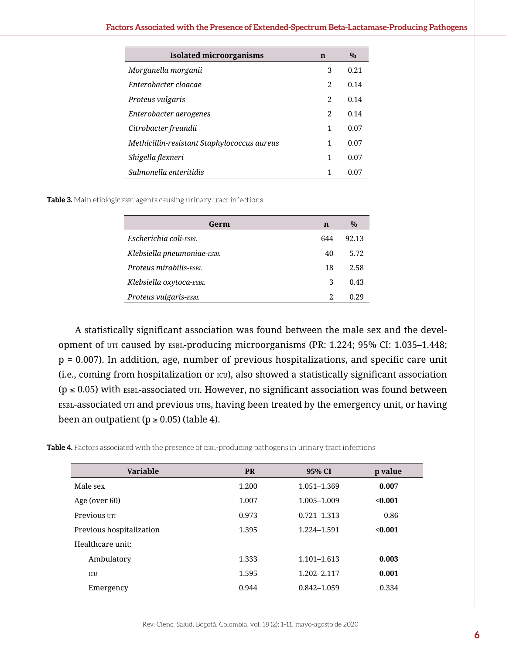| <b>Isolated microorganisms</b>              | n              | $\%$ |
|---------------------------------------------|----------------|------|
| Morganella morganii                         | 3              | 0.21 |
| Enterobacter cloacae                        | 2              | 0.14 |
| Proteus vulgaris                            | 2              | 0.14 |
| Enterobacter aerogenes                      | $\mathfrak{D}$ | 0.14 |
| Citrobacter freundii                        | $\mathbf{1}$   | 0.07 |
| Methicillin-resistant Staphylococcus aureus | 1              | 0.07 |
| Shigella flexneri                           | 1              | 0.07 |
| Salmonella enteritidis                      | 1              | 0.07 |

Table 3. Main etiologic ESBL agents causing urinary tract infections

| Germ                       | n   | $\%$  |
|----------------------------|-----|-------|
| Escherichia coli-ESBL      | 644 | 92.13 |
| Klebsiella pneumoniae-ESBL | 40  | 5.72  |
| Proteus mirabilis-ESBL     | 18  | 2.58  |
| Klebsiella oxytoca-ESBL    | 3   | 0.43  |
| Proteus vulgaris-ESBL      | 2   | O 29  |

A statistically significant association was found between the male sex and the development of uti caused by ESBL-producing microorganisms (PR: 1.224; 95% CI: 1.035–1.448; p = 0.007). In addition, age, number of previous hospitalizations, and specific care unit (i.e., coming from hospitalization or icu), also showed a statistically significant association ( $p \le 0.05$ ) with ESBL-associated UTI. However, no significant association was found between esbl-associated uti and previous utis, having been treated by the emergency unit, or having been an outpatient ( $p \ge 0.05$ ) (table 4).

Table 4. Factors associated with the presence of ESBL-producing pathogens in urinary tract infections

| <b>Variable</b>          | <b>PR</b> | 95% CI          | p value |
|--------------------------|-----------|-----------------|---------|
| Male sex                 | 1.200     | 1.051-1.369     | 0.007   |
| Age (over 60)            | 1.007     | 1.005-1.009     | < 0.001 |
| Previous UTI             | 0.973     | $0.721 - 1.313$ | 0.86    |
| Previous hospitalization | 1.395     | 1.224-1.591     | < 0.001 |
| Healthcare unit:         |           |                 |         |
| Ambulatory               | 1.333     | $1.101 - 1.613$ | 0.003   |
| ICU                      | 1.595     | 1.202-2.117     | 0.001   |
| Emergency                | 0.944     | 0.842-1.059     | 0.334   |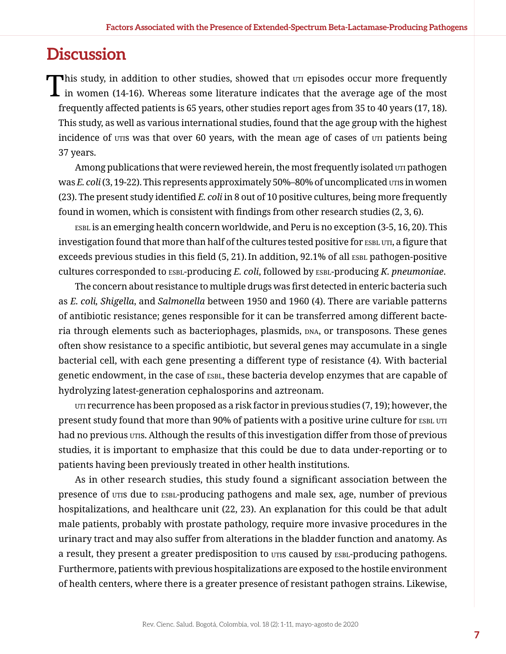### **Discussion**

This study, in addition to other studies, showed that  $\sigma$  episodes occur more frequently in women (14-16). Whereas some literature indicates that the average age of the most frequently affected patients is 65 years, other studies report ages from 35 to 40 years (17, 18). This study, as well as various international studies, found that the age group with the highest incidence of utis was that over 60 years, with the mean age of cases of uti patients being 37 years.

Among publications that were reviewed herein, the most frequently isolated  $\sigma$  pathogen was *E. coli* (3, 19-22). This represents approximately 50%–80% of uncomplicated utis in women (23). The present study identified *E. coli* in 8 out of 10 positive cultures, being more frequently found in women, which is consistent with findings from other research studies (2, 3, 6).

ESBL is an emerging health concern worldwide, and Peru is no exception (3-5, 16, 20). This investigation found that more than half of the cultures tested positive for ESBL UTI, a figure that exceeds previous studies in this field (5, 21). In addition, 92.1% of all ESBL pathogen-positive cultures corresponded to ESBL-producing *E. coli*, followed by ESBL-producing *K. pneumoniae.* 

The concern about resistance to multiple drugs was first detected in enteric bacteria such as *E. coli, Shigella*, and *Salmonella* between 1950 and 1960 (4). There are variable patterns of antibiotic resistance; genes responsible for it can be transferred among different bacteria through elements such as bacteriophages, plasmids, DNA, or transposons. These genes often show resistance to a specific antibiotic, but several genes may accumulate in a single bacterial cell, with each gene presenting a different type of resistance (4). With bacterial genetic endowment, in the case of ESBL, these bacteria develop enzymes that are capable of hydrolyzing latest-generation cephalosporins and aztreonam.

 $UTI$  recurrence has been proposed as a risk factor in previous studies (7, 19); however, the present study found that more than 90% of patients with a positive urine culture for ESBL UTI had no previous utis. Although the results of this investigation differ from those of previous studies, it is important to emphasize that this could be due to data under-reporting or to patients having been previously treated in other health institutions.

As in other research studies, this study found a significant association between the presence of utis due to ESBL-producing pathogens and male sex, age, number of previous hospitalizations, and healthcare unit (22, 23). An explanation for this could be that adult male patients, probably with prostate pathology, require more invasive procedures in the urinary tract and may also suffer from alterations in the bladder function and anatomy. As a result, they present a greater predisposition to *uris* caused by ESBL-producing pathogens. Furthermore, patients with previous hospitalizations are exposed to the hostile environment of health centers, where there is a greater presence of resistant pathogen strains. Likewise,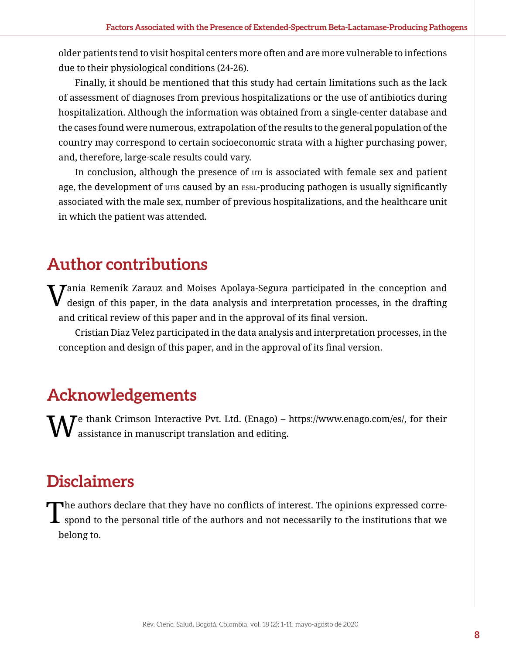older patients tend to visit hospital centers more often and are more vulnerable to infections due to their physiological conditions (24-26).

Finally, it should be mentioned that this study had certain limitations such as the lack of assessment of diagnoses from previous hospitalizations or the use of antibiotics during hospitalization. Although the information was obtained from a single-center database and the cases found were numerous, extrapolation of the results to the general population of the country may correspond to certain socioeconomic strata with a higher purchasing power, and, therefore, large-scale results could vary.

In conclusion, although the presence of  $UTI$  is associated with female sex and patient age, the development of utis caused by an esbl-producing pathogen is usually significantly associated with the male sex, number of previous hospitalizations, and the healthcare unit in which the patient was attended.

## **Author contributions**

 $\rm V$ ania Remenik Zarauz and Moises Apolaya-Segura participated in the conception and design of this paper, in the data analysis and interpretation processes, in the drafting and critical review of this paper and in the approval of its final version.

Cristian Diaz Velez participated in the data analysis and interpretation processes, in the conception and design of this paper, and in the approval of its final version.

## **Acknowledgements**

 $\mathcal T$ e thank Crimson Interactive Pvt. Ltd. (Enago) – <https://www.enago.com/es/>, for their assistance in manuscript translation and editing.

## **Disclaimers**

The authors declare that they have no conflicts of interest. The opinions expressed corre-<br>spond to the personal title of the authors and not necessarily to the institutions that we belong to.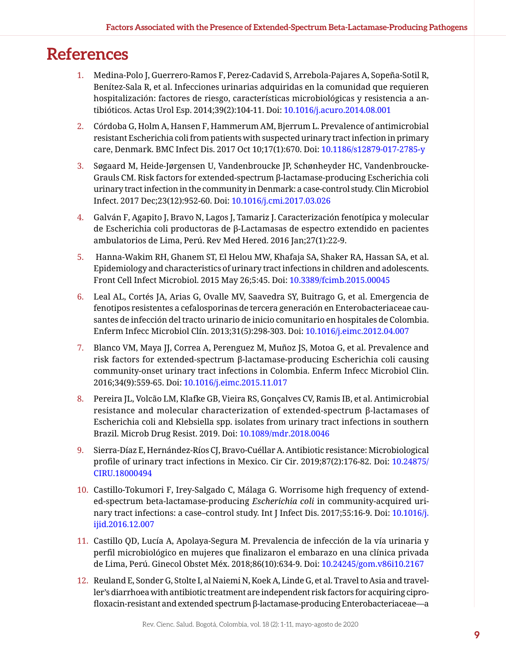## **References**

- 1. Medina-Polo J, Guerrero-Ramos F, Perez-Cadavid S, Arrebola-Pajares A, Sopeña-Sotil R, Benítez-Sala R, et al. Infecciones urinarias adquiridas en la comunidad que requieren hospitalización: factores de riesgo, características microbiológicas y resistencia a antibióticos. Actas Urol Esp. 2014;39(2):104-11. Doi: [10.1016/j.acuro.2014.08.001](https://doi.org/10.1016/j.acuro.2014.08.001)
- 2. Córdoba G, Holm A, Hansen F, Hammerum AM, Bjerrum L. Prevalence of antimicrobial resistant Escherichia coli from patients with suspected urinary tract infection in primary care, Denmark. BMC Infect Dis. 2017 Oct 10;17(1):670. Doi: [10.1186/s12879-017-2785-y](https://doi.org/10.1186/s12879-017-2785-y)
- 3. Søgaard M, Heide-Jørgensen U, Vandenbroucke JP, Schønheyder HC, Vandenbroucke-Grauls CM. Risk factors for extended-spectrum β-lactamase-producing Escherichia coli urinary tract infection in the community in Denmark: a case-control study. Clin Microbiol Infect. 2017 Dec;23(12):952-60. Doi: [10.1016/j.cmi.2017.03.026](https://doi.org/10.1016/j.cmi.2017.03.026)
- 4. Galván F, Agapito J, Bravo N, Lagos J, Tamariz J. Caracterización fenotípica y molecular de Escherichia coli productoras de β-Lactamasas de espectro extendido en pacientes ambulatorios de Lima, Perú. Rev Med Hered. 2016 Jan;27(1):22-9.
- 5. Hanna-Wakim RH, Ghanem ST, El Helou MW, Khafaja SA, Shaker RA, Hassan SA, et al. Epidemiology and characteristics of urinary tract infections in children and adolescents. Front Cell Infect Microbiol. 2015 May 26;5:45. Doi: [10.3389/fcimb.2015.00045](https://doi.org/10.3389/fcimb.2015.00045)
- 6. Leal AL, Cortés JA, Arias G, Ovalle MV, Saavedra SY, Buitrago G, et al. Emergencia de fenotipos resistentes a cefalosporinas de tercera generación en Enterobacteriaceae causantes de infección del tracto urinario de inicio comunitario en hospitales de Colombia. Enferm Infecc Microbiol Clín. 2013;31(5):298-303. D[oi: 10.1016/j.eimc.2012.04.007](https://doi.org/10.1016/j.eimc.2012.04.007)
- 7. Blanco VM, Maya JJ, Correa A, Perenguez M, Muñoz JS, Motoa G, et al. Prevalence and risk factors for extended-spectrum β-lactamase-producing Escherichia coli causing community-onset urinary tract infections in Colombia. Enferm Infecc Microbiol Clin. 2016;34(9):559-65. Doi: [10.1016/j.eimc.2015.11.017](https://doi.org/10.1016/j.eimc.2015.11.017)
- 8. Pereira JL, Volcão LM, Klafke GB, Vieira RS, Gonçalves CV, Ramis IB, et al. Antimicrobial resistance and molecular characterization of extended-spectrum β-lactamases of Escherichia coli and Klebsiella spp. isolates from urinary tract infections in southern Brazil. Microb Drug Resist. 2019. Doi: [10.1089/mdr.2018.0046](https://doi.org/10.1089/mdr.2018.0046)
- 9. Sierra-Díaz E, Hernández-Ríos CJ, Bravo-Cuéllar A. Antibiotic resistance: Microbiological profile of urinary tract infections in Mexico. Cir Cir. 2019;87(2):176-82. Doi: [10.24875/](https://doi.org/10.24875/CIRU.18000494) [CIRU.18000494](https://doi.org/10.24875/CIRU.18000494)
- 10. Castillo-Tokumori F, Irey-Salgado C, Málaga G. Worrisome high frequency of extended-spectrum beta-lactamase-producing *Escherichia coli* in community-acquired urinary tract infections: a case–control study. Int J Infect Dis. 2017;55:16-9. Doi: [10.1016/j.](https://doi.org/10.1016/j.ijid.2016.12.007) [ijid.2016.12.007](https://doi.org/10.1016/j.ijid.2016.12.007)
- 11. Castillo QD, Lucía A, Apolaya-Segura M. Prevalencia de infección de la vía urinaria y perfil microbiológico en mujeres que finalizaron el embarazo en una clínica privada de Lima, Perú. Ginecol Obstet Méx. 2018;86(10):634-9. Doi: [10.24245/gom.v86i10.2167](https://doi.org/10.24245/gom.v86i10.2167)
- 12. Reuland E, Sonder G, Stolte I, al Naiemi N, Koek A, Linde G, et al. Travel to Asia and traveller's diarrhoea with antibiotic treatment are independent risk factors for acquiring ciprofloxacin-resistant and extended spectrum β-lactamase-producing Enterobacteriaceae—a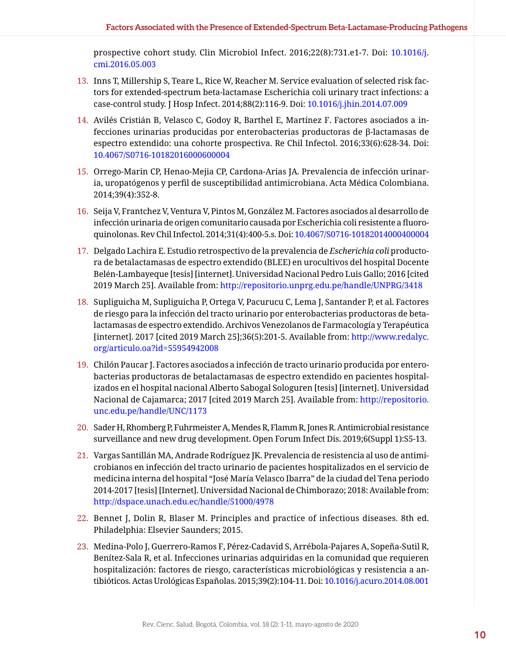prospective cohort study. Clin Microbiol Infect. 2016;22(8):731.e1-7. Doi: [10.1016/j.](https://doi.org/10.1016/j.cmi.2016.05.003) [cmi.2016.05.003](https://doi.org/10.1016/j.cmi.2016.05.003)

- 13. Inns T, Millership S, Teare L, Rice W, Reacher M. Service evaluation of selected risk factors for extended-spectrum beta-lactamase Escherichia coli urinary tract infections: a case-control study. J Hosp Infect. 2014;88(2):116-9. Doi: [10.1016/j.jhin.2014.07.009](https://doi.org/10.1016/j.jhin.2014.07.009)
- 14. Avilés Cristián B, Velasco C, Godoy R, Barthel E, Martínez F. Factores asociados a infecciones urinarias producidas por enterobacterias productoras de β-lactamasas de espectro extendido: una cohorte prospectiva. Re Chil Infectol. 2016;33(6):628-34. Doi: [10.4067/S0716-10182016000600004](https://doi.org/10.4067/S0716-10182016000600004)
- 15. Orrego-Marin CP, Henao-Mejia CP, Cardona-Arias JA. Prevalencia de infección urinaria, uropatógenos y perfil de susceptibilidad antimicrobiana. Acta Médica Colombiana. 2014;39(4):352-8.
- 16. Seija V, Frantchez V, Ventura V, Pintos M, González M. Factores asociados al desarrollo de infección urinaria de origen comunitario causada por Escherichia coli resistente a fluoroquinolonas. Rev Chil Infectol. 2014;31(4):400-5.s. Doi: [10.4067/S0716-10182014000400004](https://doi.org/10.4067/S0716-10182014000400004)
- 17. Delgado Lachira E. Estudio retrospectivo de la prevalencia de *Escherichia coli* productora de betalactamasas de espectro extendido (BLEE) en urocultivos del hospital Docente Belén-Lambayeque [tesis] [internet]. Universidad Nacional Pedro Luis Gallo; 2016 [cited 2019 March 25]. Available from: <http://repositorio.unprg.edu.pe/handle/UNPRG/3418>
- 18. Supliguicha M, Supliguicha P, Ortega V, Pacurucu C, Lema J, Santander P, et al. Factores de riesgo para la infección del tracto urinario por enterobacterias productoras de betalactamasas de espectro extendido. Archivos Venezolanos de Farmacología y Terapéutica [internet]. 2017 [cited 2019 March 25];36(5):201-5. Available from: [http://www.redalyc.](http://www.redalyc.org/articulo.oa?id=55954942008) [org/articulo.oa?id=55954942008](http://www.redalyc.org/articulo.oa?id=55954942008)
- 19. Chilón Paucar J. Factores asociados a infección de tracto urinario producida por enterobacterias productoras de betalactamasas de espectro extendido en pacientes hospitalizados en el hospital nacional Alberto Sabogal Sologuren [tesis] [internet]. Universidad Nacional de Cajamarca; 2017 [cited 2019 March 25]. Available from: [http://repositorio.](http://repositorio.unc.edu.pe/handle/UNC/1173) [unc.edu.pe/handle/UNC/1173](http://repositorio.unc.edu.pe/handle/UNC/1173)
- 20. Sader H, Rhomberg P, Fuhrmeister A, Mendes R, Flamm R, Jones R. Antimicrobial resistance surveillance and new drug development. Open Forum Infect Dis. 2019;6(Suppl 1):S5-13.
- 21. Vargas Santillán MA, Andrade Rodríguez JK. Prevalencia de resistencia al uso de antimicrobianos en infección del tracto urinario de pacientes hospitalizados en el servicio de medicina interna del hospital "José María Velasco Ibarra" de la ciudad del Tena periodo 2014-2017 [tesis] [Internet]. Universidad Nacional de Chimborazo; 2018: Available from: <http://dspace.unach.edu.ec/handle/51000/4978>
- 22. Bennet J, Dolin R, Blaser M. Principles and practice of infectious diseases. 8th ed. Philadelphia: Elsevier Saunders; 2015.
- 23. Medina-Polo J, Guerrero-Ramos F, Pérez-Cadavid S, Arrébola-Pajares A, Sopeña-Sutil R, Benítez-Sala R, et al. Infecciones urinarias adquiridas en la comunidad que requieren hospitalización: factores de riesgo, características microbiológicas y resistencia a antibióticos. Actas Urológicas Españolas. 2015;39(2):104-11. Doi: [10.1016/j.acuro.2014.08.001](https://doi.org/10.1016/j.acuro.2014.08.001)